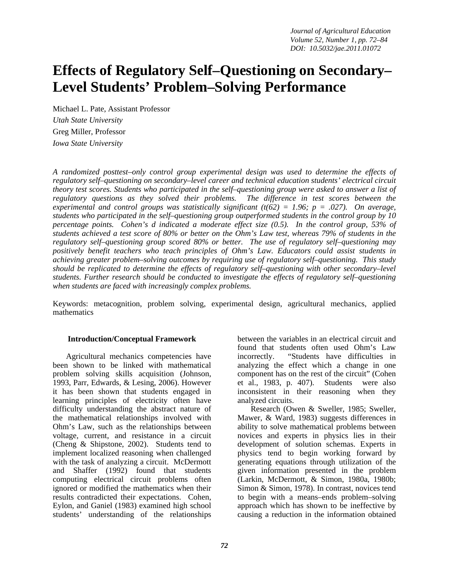# **Effects of Regulatory Self–Questioning on Secondary– Level Students' Problem–Solving Performance**

Michael L. Pate, Assistant Professor *Utah State University* Greg Miller, Professor *Iowa State University*

*A randomized posttest–only control group experimental design was used to determine the effects of regulatory self–questioning on secondary–level career and technical education students' electrical circuit theory test scores. Students who participated in the self–questioning group were asked to answer a list of regulatory questions as they solved their problems. The difference in test scores between the experimental and control groups was statistically significant (t(62) = 1.96; p = .027). On average, students who participated in the self–questioning group outperformed students in the control group by 10 percentage points. Cohen's d indicated a moderate effect size (0.5). In the control group, 53% of students achieved a test score of 80% or better on the Ohm's Law test, whereas 79% of students in the regulatory self–questioning group scored 80% or better. The use of regulatory self–questioning may positively benefit teachers who teach principles of Ohm's Law. Educators could assist students in achieving greater problem–solving outcomes by requiring use of regulatory self–questioning. This study should be replicated to determine the effects of regulatory self–questioning with other secondary–level students. Further research should be conducted to investigate the effects of regulatory self–questioning when students are faced with increasingly complex problems.* 

Keywords: metacognition, problem solving, experimental design, agricultural mechanics, applied mathematics

#### **Introduction/Conceptual Framework**

Agricultural mechanics competencies have been shown to be linked with mathematical problem solving skills acquisition (Johnson, 1993, Parr, Edwards, & Lesing, 2006). However it has been shown that students engaged in learning principles of electricity often have difficulty understanding the abstract nature of the mathematical relationships involved with Ohm's Law, such as the relationships between voltage, current, and resistance in a circuit (Cheng & Shipstone, 2002). Students tend to implement localized reasoning when challenged with the task of analyzing a circuit. McDermott and Shaffer (1992) found that students computing electrical circuit problems often ignored or modified the mathematics when their results contradicted their expectations. Cohen, Eylon, and Ganiel (1983) examined high school students' understanding of the relationships

between the variables in an electrical circuit and found that students often used Ohm's Law incorrectly. "Students have difficulties in analyzing the effect which a change in one component has on the rest of the circuit" (Cohen et al., 1983, p. 407). Students were also inconsistent in their reasoning when they analyzed circuits.

Research (Owen & Sweller, 1985; Sweller, Mawer, & Ward, 1983) suggests differences in ability to solve mathematical problems between novices and experts in physics lies in their development of solution schemas. Experts in physics tend to begin working forward by generating equations through utilization of the given information presented in the problem (Larkin, McDermott, & Simon, 1980a, 1980b; Simon & Simon, 1978). In contrast, novices tend to begin with a means–ends problem–solving approach which has shown to be ineffective by causing a reduction in the information obtained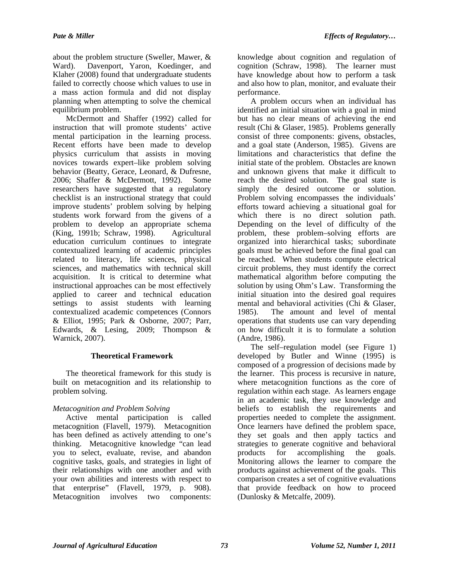about the problem structure (Sweller, Mawer, & Ward). Davenport, Yaron, Koedinger, and Klaher (2008) found that undergraduate students failed to correctly choose which values to use in a mass action formula and did not display planning when attempting to solve the chemical equilibrium problem.

McDermott and Shaffer (1992) called for instruction that will promote students' active mental participation in the learning process. Recent efforts have been made to develop physics curriculum that assists in moving novices towards expert–like problem solving behavior (Beatty, Gerace, Leonard, & Dufresne, 2006; Shaffer & McDermott, 1992). Some researchers have suggested that a regulatory checklist is an instructional strategy that could improve students' problem solving by helping students work forward from the givens of a problem to develop an appropriate schema (King, 1991b; Schraw, 1998). Agricultural education curriculum continues to integrate contextualized learning of academic principles related to literacy, life sciences, physical sciences, and mathematics with technical skill acquisition. It is critical to determine what instructional approaches can be most effectively applied to career and technical education settings to assist students with learning contextualized academic competences (Connors & Elliot, 1995; Park & Osborne, 2007; Parr, Edwards, & Lesing, 2009; Thompson & Warnick, 2007).

## **Theoretical Framework**

The theoretical framework for this study is built on metacognition and its relationship to problem solving.

## *Metacognition and Problem Solving*

Active mental participation is called metacognition (Flavell, 1979). Metacognition has been defined as actively attending to one's thinking. Metacognitive knowledge "can lead you to select, evaluate, revise, and abandon cognitive tasks, goals, and strategies in light of their relationships with one another and with your own abilities and interests with respect to that enterprise" (Flavell, 1979, p. 908). Metacognition involves two components:

knowledge about cognition and regulation of cognition (Schraw, 1998). The learner must have knowledge about how to perform a task and also how to plan, monitor, and evaluate their performance.

A problem occurs when an individual has identified an initial situation with a goal in mind but has no clear means of achieving the end result (Chi & Glaser, 1985). Problems generally consist of three components: givens, obstacles, and a goal state (Anderson, 1985). Givens are limitations and characteristics that define the initial state of the problem. Obstacles are known and unknown givens that make it difficult to reach the desired solution. The goal state is simply the desired outcome or solution. Problem solving encompasses the individuals' efforts toward achieving a situational goal for which there is no direct solution path. Depending on the level of difficulty of the problem, these problem–solving efforts are organized into hierarchical tasks; subordinate goals must be achieved before the final goal can be reached. When students compute electrical circuit problems, they must identify the correct mathematical algorithm before computing the solution by using Ohm's Law. Transforming the initial situation into the desired goal requires mental and behavioral activities (Chi & Glaser, 1985). The amount and level of mental operations that students use can vary depending on how difficult it is to formulate a solution (Andre, 1986).

The self–regulation model (see Figure 1) developed by Butler and Winne (1995) is composed of a progression of decisions made by the learner. This process is recursive in nature, where metacognition functions as the core of regulation within each stage. As learners engage in an academic task, they use knowledge and beliefs to establish the requirements and properties needed to complete the assignment. Once learners have defined the problem space, they set goals and then apply tactics and strategies to generate cognitive and behavioral products for accomplishing the goals. Monitoring allows the learner to compare the products against achievement of the goals. This comparison creates a set of cognitive evaluations that provide feedback on how to proceed (Dunlosky & Metcalfe, 2009).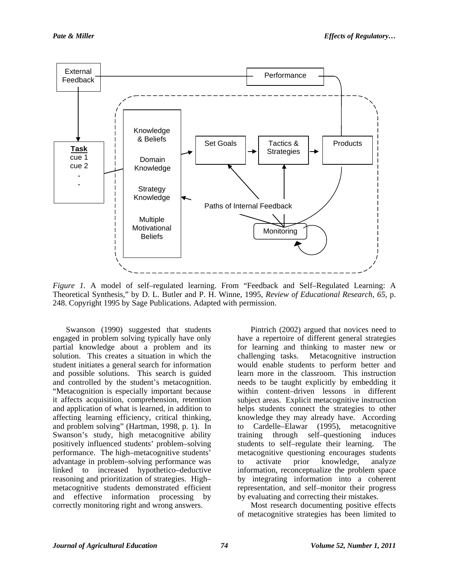

*Figure 1.* A model of self–regulated learning. From "Feedback and Self–Regulated Learning: A Theoretical Synthesis," by D. L. Butler and P. H. Winne, 1995, *Review of Educational Research, 65*, p. 248. Copyright 1995 by Sage Publications. Adapted with permission.

Swanson (1990) suggested that students engaged in problem solving typically have only partial knowledge about a problem and its solution. This creates a situation in which the student initiates a general search for information and possible solutions. This search is guided and controlled by the student's metacognition. "Metacognition is especially important because it affects acquisition, comprehension, retention and application of what is learned, in addition to affecting learning efficiency, critical thinking, and problem solving" (Hartman, 1998, p. 1). In Swanson's study, high metacognitive ability positively influenced students' problem–solving performance. The high–metacognitive students' advantage in problem–solving performance was linked to increased hypothetico–deductive reasoning and prioritization of strategies. High– metacognitive students demonstrated efficient and effective information processing by correctly monitoring right and wrong answers.

Pintrich (2002) argued that novices need to have a repertoire of different general strategies for learning and thinking to master new or challenging tasks. Metacognitive instruction would enable students to perform better and learn more in the classroom. This instruction needs to be taught explicitly by embedding it within content–driven lessons in different subject areas. Explicit metacognitive instruction helps students connect the strategies to other knowledge they may already have. According to Cardelle–Elawar (1995), metacognitive training through self–questioning induces students to self–regulate their learning. The metacognitive questioning encourages students to activate prior knowledge, analyze information, reconceptualize the problem space by integrating information into a coherent representation, and self–monitor their progress by evaluating and correcting their mistakes.

Most research documenting positive effects of metacognitive strategies has been limited to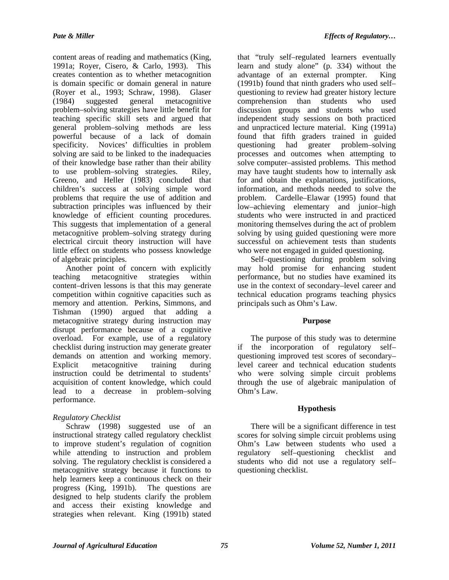content areas of reading and mathematics (King, 1991a; Royer, Cisero, & Carlo, 1993). This creates contention as to whether metacognition is domain specific or domain general in nature (Royer et al., 1993; Schraw, 1998). Glaser<br>(1984) suggested general metacognitive (1984) suggested general metacognitive problem–solving strategies have little benefit for teaching specific skill sets and argued that general problem–solving methods are less powerful because of a lack of domain specificity. Novices' difficulties in problem solving are said to be linked to the inadequacies of their knowledge base rather than their ability to use problem–solving strategies. Riley, Greeno, and Heller (1983) concluded that children's success at solving simple word problems that require the use of addition and subtraction principles was influenced by their knowledge of efficient counting procedures. This suggests that implementation of a general metacognitive problem–solving strategy during electrical circuit theory instruction will have little effect on students who possess knowledge of algebraic principles.

Another point of concern with explicitly teaching metacognitive strategies within content–driven lessons is that this may generate competition within cognitive capacities such as memory and attention. Perkins, Simmons, and Tishman (1990) argued that adding a metacognitive strategy during instruction may disrupt performance because of a cognitive overload. For example, use of a regulatory checklist during instruction may generate greater demands on attention and working memory. Explicit metacognitive training during instruction could be detrimental to students' acquisition of content knowledge, which could lead to a decrease in problem–solving performance.

## *Regulatory Checklist*

Schraw (1998) suggested use of an instructional strategy called regulatory checklist to improve student's regulation of cognition while attending to instruction and problem solving. The regulatory checklist is considered a metacognitive strategy because it functions to help learners keep a continuous check on their progress (King, 1991b). The questions are designed to help students clarify the problem and access their existing knowledge and strategies when relevant. King (1991b) stated

that "truly self–regulated learners eventually learn and study alone" (p. 334) without the advantage of an external prompter. King (1991b) found that ninth graders who used self– questioning to review had greater history lecture comprehension than students who used discussion groups and students who used independent study sessions on both practiced and unpracticed lecture material. King (1991a) found that fifth graders trained in guided questioning had greater problem–solving processes and outcomes when attempting to solve computer–assisted problems. This method may have taught students how to internally ask for and obtain the explanations, justifications, information, and methods needed to solve the problem. Cardelle–Elawar (1995) found that low–achieving elementary and junior–high students who were instructed in and practiced monitoring themselves during the act of problem solving by using guided questioning were more successful on achievement tests than students who were not engaged in guided questioning.

Self–questioning during problem solving may hold promise for enhancing student performance, but no studies have examined its use in the context of secondary–level career and technical education programs teaching physics principals such as Ohm's Law.

## **Purpose**

The purpose of this study was to determine if the incorporation of regulatory self– questioning improved test scores of secondary– level career and technical education students who were solving simple circuit problems through the use of algebraic manipulation of Ohm's Law.

# **Hypothesis**

There will be a significant difference in test scores for solving simple circuit problems using Ohm's Law between students who used a regulatory self–questioning checklist and students who did not use a regulatory self– questioning checklist.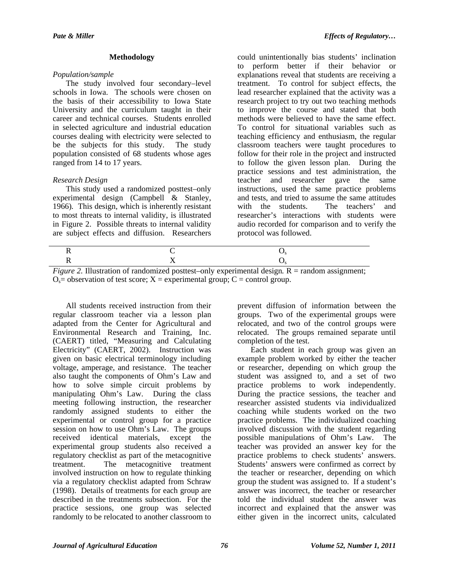#### **Methodology**

## *Population/sample*

The study involved four secondary–level schools in Iowa. The schools were chosen on the basis of their accessibility to Iowa State University and the curriculum taught in their career and technical courses. Students enrolled in selected agriculture and industrial education courses dealing with electricity were selected to be the subjects for this study. The study population consisted of 68 students whose ages ranged from 14 to 17 years.

## *Research Design*

This study used a randomized posttest–only experimental design (Campbell & Stanley, 1966)*.* This design, which is inherently resistant to most threats to internal validity, is illustrated in Figure 2. Possible threats to internal validity are subject effects and diffusion. Researchers

could unintentionally bias students' inclination to perform better if their behavior or explanations reveal that students are receiving a treatment. To control for subject effects, the lead researcher explained that the activity was a research project to try out two teaching methods to improve the course and stated that both methods were believed to have the same effect. To control for situational variables such as teaching efficiency and enthusiasm, the regular classroom teachers were taught procedures to follow for their role in the project and instructed to follow the given lesson plan. During the practice sessions and test administration, the teacher and researcher gave the same instructions, used the same practice problems and tests, and tried to assume the same attitudes<br>with the students. The teachers' and with the students. The teachers' and researcher's interactions with students were audio recorded for comparison and to verify the protocol was followed.

*Figure 2.* Illustration of randomized posttest–only experimental design. R = random assignment;  $O_s$  = observation of test score;  $X$  = experimental group;  $C$  = control group.

All students received instruction from their regular classroom teacher via a lesson plan adapted from the Center for Agricultural and Environmental Research and Training, Inc. (CAERT) titled, "Measuring and Calculating Electricity" (CAERT, 2002). Instruction was given on basic electrical terminology including voltage, amperage, and resistance. The teacher also taught the components of Ohm's Law and how to solve simple circuit problems by manipulating Ohm's Law. During the class meeting following instruction, the researcher randomly assigned students to either the experimental or control group for a practice session on how to use Ohm's Law. The groups received identical materials, except the experimental group students also received a regulatory checklist as part of the metacognitive treatment. The metacognitive treatment involved instruction on how to regulate thinking via a regulatory checklist adapted from Schraw (1998). Details of treatments for each group are described in the treatments subsection. For the practice sessions, one group was selected randomly to be relocated to another classroom to

prevent diffusion of information between the groups. Two of the experimental groups were relocated, and two of the control groups were relocated. The groups remained separate until completion of the test.

Each student in each group was given an example problem worked by either the teacher or researcher, depending on which group the student was assigned to, and a set of two practice problems to work independently. During the practice sessions, the teacher and researcher assisted students via individualized coaching while students worked on the two practice problems. The individualized coaching involved discussion with the student regarding possible manipulations of Ohm's Law. The teacher was provided an answer key for the practice problems to check students' answers. Students' answers were confirmed as correct by the teacher or researcher, depending on which group the student was assigned to. If a student's answer was incorrect, the teacher or researcher told the individual student the answer was incorrect and explained that the answer was either given in the incorrect units, calculated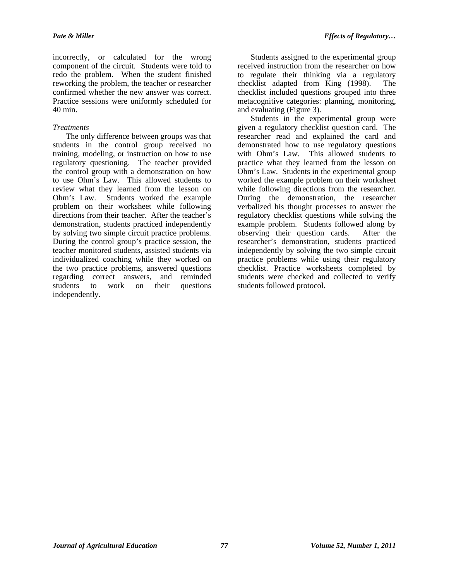incorrectly, or calculated for the wrong component of the circuit. Students were told to redo the problem. When the student finished reworking the problem, the teacher or researcher confirmed whether the new answer was correct. Practice sessions were uniformly scheduled for 40 min.

## *Treatments*

The only difference between groups was that students in the control group received no training, modeling, or instruction on how to use regulatory questioning. The teacher provided the control group with a demonstration on how to use Ohm's Law. This allowed students to review what they learned from the lesson on Ohm's Law. Students worked the example problem on their worksheet while following directions from their teacher. After the teacher's demonstration, students practiced independently by solving two simple circuit practice problems. During the control group's practice session, the teacher monitored students, assisted students via individualized coaching while they worked on the two practice problems, answered questions regarding correct answers, and reminded students to work on their questions independently.

Students assigned to the experimental group received instruction from the researcher on how to regulate their thinking via a regulatory checklist adapted from King (1998). The checklist included questions grouped into three metacognitive categories: planning, monitoring, and evaluating (Figure 3).

Students in the experimental group were given a regulatory checklist question card. The researcher read and explained the card and demonstrated how to use regulatory questions with Ohm's Law. This allowed students to practice what they learned from the lesson on Ohm's Law. Students in the experimental group worked the example problem on their worksheet while following directions from the researcher. During the demonstration, the researcher verbalized his thought processes to answer the regulatory checklist questions while solving the example problem. Students followed along by observing their question cards. After the researcher's demonstration, students practiced independently by solving the two simple circuit practice problems while using their regulatory checklist. Practice worksheets completed by students were checked and collected to verify students followed protocol.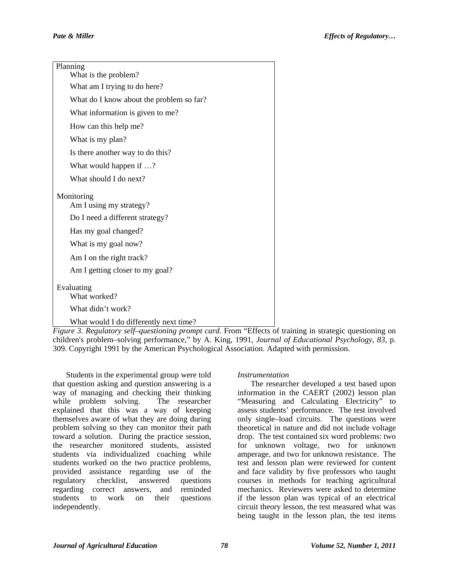| Planning<br>What is the problem?         |
|------------------------------------------|
| What am I trying to do here?             |
| What do I know about the problem so far? |
| What information is given to me?         |
| How can this help me?                    |
| What is my plan?                         |
| Is there another way to do this?         |
| What would happen if ?                   |
| What should I do next?                   |
| Monitoring<br>Am I using my strategy?    |
| Do I need a different strategy?          |
| Has my goal changed?                     |
| What is my goal now?                     |
| Am I on the right track?                 |
| Am I getting closer to my goal?          |
| Evaluating<br>What worked?               |
| What didn't work?                        |
| What would I do differently next time?   |

*Figure 3. Regulatory self–questioning prompt card.* From "Effects of training in strategic questioning on children's problem–solving performance," by A. King, 1991, *Journal of Educational Psychology, 83*, p. 309. Copyright 1991 by the American Psychological Association. Adapted with permission.

Students in the experimental group were told that question asking and question answering is a way of managing and checking their thinking while problem solving. The researcher explained that this was a way of keeping themselves aware of what they are doing during problem solving so they can monitor their path toward a solution. During the practice session, the researcher monitored students, assisted students via individualized coaching while students worked on the two practice problems, provided assistance regarding use of the regulatory checklist, answered questions regarding correct answers, and reminded students to work on their questions independently.

#### *Instrumentation*

The researcher developed a test based upon information in the CAERT (2002) lesson plan "Measuring and Calculating Electricity" to assess students' performance. The test involved only single–load circuits. The questions were theoretical in nature and did not include voltage drop. The test contained six word problems: two for unknown voltage, two for unknown amperage, and two for unknown resistance. The test and lesson plan were reviewed for content and face validity by five professors who taught courses in methods for teaching agricultural mechanics. Reviewers were asked to determine if the lesson plan was typical of an electrical circuit theory lesson, the test measured what was being taught in the lesson plan, the test items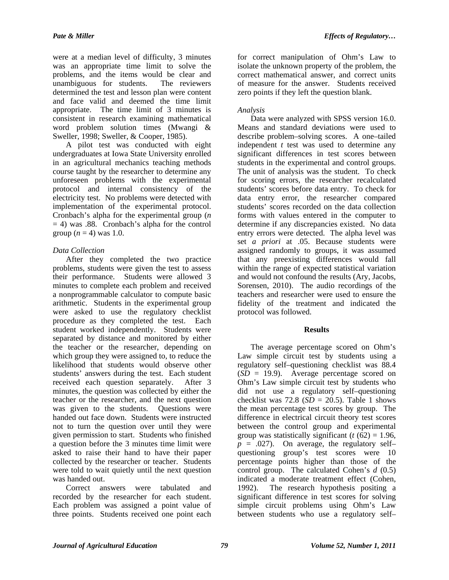were at a median level of difficulty, 3 minutes was an appropriate time limit to solve the problems, and the items would be clear and unambiguous for students. The reviewers determined the test and lesson plan were content and face valid and deemed the time limit appropriate. The time limit of 3 minutes is consistent in research examining mathematical word problem solution times (Mwangi & Sweller, 1998; Sweller, & Cooper, 1985).

A pilot test was conducted with eight undergraduates at Iowa State University enrolled in an agricultural mechanics teaching methods course taught by the researcher to determine any unforeseen problems with the experimental protocol and internal consistency of the electricity test. No problems were detected with implementation of the experimental protocol. Cronbach's alpha for the experimental group (*n*  $= 4$ ) was .88. Cronbach's alpha for the control group  $(n = 4)$  was 1.0.

## *Data Collection*

After they completed the two practice problems, students were given the test to assess their performance. Students were allowed 3 minutes to complete each problem and received a nonprogrammable calculator to compute basic arithmetic. Students in the experimental group were asked to use the regulatory checklist procedure as they completed the test. Each student worked independently. Students were separated by distance and monitored by either the teacher or the researcher, depending on which group they were assigned to, to reduce the likelihood that students would observe other students' answers during the test. Each student received each question separately. After 3 minutes, the question was collected by either the teacher or the researcher, and the next question was given to the students. Ouestions were handed out face down. Students were instructed not to turn the question over until they were given permission to start. Students who finished a question before the 3 minutes time limit were asked to raise their hand to have their paper collected by the researcher or teacher. Students were told to wait quietly until the next question was handed out.

Correct answers were tabulated and recorded by the researcher for each student. Each problem was assigned a point value of three points. Students received one point each

for correct manipulation of Ohm's Law to isolate the unknown property of the problem, the correct mathematical answer, and correct units of measure for the answer. Students received zero points if they left the question blank.

## *Analysis*

Data were analyzed with SPSS version 16.0. Means and standard deviations were used to describe problem–solving scores. A one–tailed independent *t* test was used to determine any significant differences in test scores between students in the experimental and control groups. The unit of analysis was the student. To check for scoring errors, the researcher recalculated students' scores before data entry. To check for data entry error, the researcher compared students' scores recorded on the data collection forms with values entered in the computer to determine if any discrepancies existed. No data entry errors were detected. The alpha level was set *a priori* at .05. Because students were assigned randomly to groups, it was assumed that any preexisting differences would fall within the range of expected statistical variation and would not confound the results (Ary, Jacobs, Sorensen, 2010). The audio recordings of the teachers and researcher were used to ensure the fidelity of the treatment and indicated the protocol was followed.

#### **Results**

The average percentage scored on Ohm's Law simple circuit test by students using a regulatory self–questioning checklist was 88.4 (*SD* = 19.9). Average percentage scored on Ohm's Law simple circuit test by students who did not use a regulatory self–questioning checklist was  $72.8$  ( $SD = 20.5$ ). Table 1 shows the mean percentage test scores by group. The difference in electrical circuit theory test scores between the control group and experimental group was statistically significant ( $t$  ( $62$ ) = 1.96,  $p = .027$ ). On average, the regulatory selfquestioning group's test scores were 10 percentage points higher than those of the control group. The calculated Cohen's *d* (0.5) indicated a moderate treatment effect (Cohen, 1992). The research hypothesis positing a significant difference in test scores for solving simple circuit problems using Ohm's Law between students who use a regulatory self–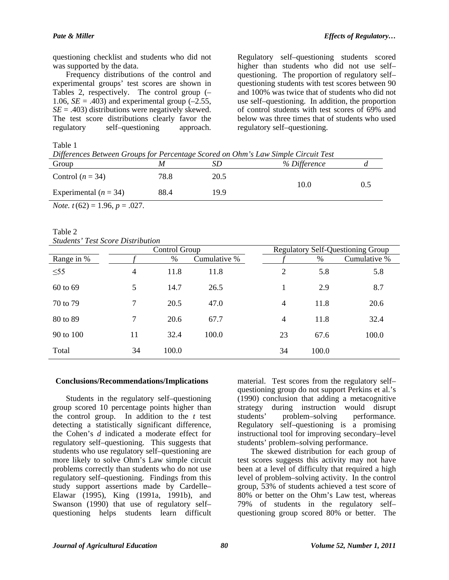questioning checklist and students who did not was supported by the data.

Frequency distributions of the control and experimental groups' test scores are shown in Tables 2, respectively. The control group (– 1.06,  $SE = .403$ ) and experimental group  $(-2.55,$  $SE = .403$ ) distributions were negatively skewed. The test score distributions clearly favor the regulatory self–questioning approach.

Regulatory self–questioning students scored higher than students who did not use self– questioning. The proportion of regulatory self– questioning students with test scores between 90 and 100% was twice that of students who did not use self–questioning. In addition, the proportion of control students with test scores of 69% and below was three times that of students who used regulatory self–questioning.

Table 1

| Differences Between Groups for Percentage Scored on Ohm's Law Simple Circuit Test |      |      |              |     |  |  |  |
|-----------------------------------------------------------------------------------|------|------|--------------|-----|--|--|--|
| Group                                                                             |      | SD   | % Difference |     |  |  |  |
| Control $(n = 34)$                                                                | 78.8 | 20.5 | 10.0         | 0.5 |  |  |  |
| Experimental $(n = 34)$                                                           | 88.4 | 199  |              |     |  |  |  |

*Note. t*(62) = 1.96, *p* = .027.

Table 2 *Students' Test Score Distribution*

|            | Control Group  |       |              | <b>Regulatory Self-Questioning Group</b> |       |              |
|------------|----------------|-------|--------------|------------------------------------------|-------|--------------|
| Range in % |                | %     | Cumulative % |                                          | %     | Cumulative % |
| $\leq 55$  | $\overline{4}$ | 11.8  | 11.8         | 2                                        | 5.8   | 5.8          |
| 60 to 69   | 5              | 14.7  | 26.5         |                                          | 2.9   | 8.7          |
| 70 to 79   | 7              | 20.5  | 47.0         | $\overline{4}$                           | 11.8  | 20.6         |
| 80 to 89   | 7              | 20.6  | 67.7         | $\overline{4}$                           | 11.8  | 32.4         |
| 90 to 100  | 11             | 32.4  | 100.0        | 23                                       | 67.6  | 100.0        |
| Total      | 34             | 100.0 |              | 34                                       | 100.0 |              |

#### **Conclusions/Recommendations/Implications**

Students in the regulatory self–questioning group scored 10 percentage points higher than the control group. In addition to the *t* test detecting a statistically significant difference, the Cohen's *d* indicated a moderate effect for regulatory self–questioning. This suggests that students who use regulatory self–questioning are more likely to solve Ohm's Law simple circuit problems correctly than students who do not use regulatory self–questioning. Findings from this study support assertions made by Cardelle– Elawar (1995), King (1991a, 1991b), and Swanson (1990) that use of regulatory self– questioning helps students learn difficult material. Test scores from the regulatory self– questioning group do not support Perkins et al.'s (1990) conclusion that adding a metacognitive strategy during instruction would disrupt students' problem–solving performance. Regulatory self–questioning is a promising instructional tool for improving secondary–level students' problem–solving performance.

The skewed distribution for each group of test scores suggests this activity may not have been at a level of difficulty that required a high level of problem–solving activity. In the control group, 53% of students achieved a test score of 80% or better on the Ohm's Law test, whereas 79% of students in the regulatory self– questioning group scored 80% or better. The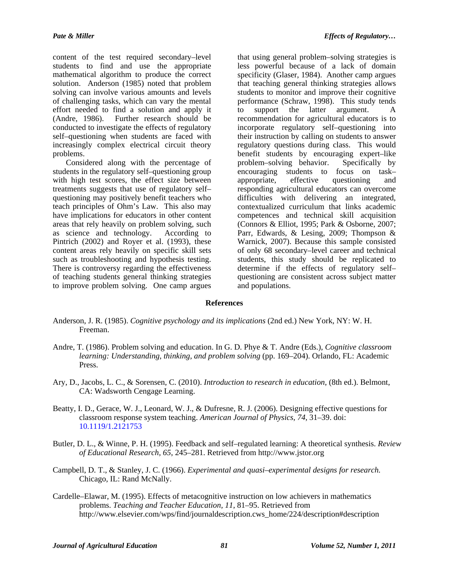content of the test required secondary–level students to find and use the appropriate mathematical algorithm to produce the correct solution. Anderson (1985) noted that problem solving can involve various amounts and levels of challenging tasks, which can vary the mental effort needed to find a solution and apply it (Andre, 1986). Further research should be conducted to investigate the effects of regulatory self–questioning when students are faced with increasingly complex electrical circuit theory problems.

Considered along with the percentage of students in the regulatory self–questioning group with high test scores, the effect size between treatments suggests that use of regulatory self– questioning may positively benefit teachers who teach principles of Ohm's Law. This also may have implications for educators in other content areas that rely heavily on problem solving, such as science and technology. According to Pintrich (2002) and Royer et al. (1993), these content areas rely heavily on specific skill sets such as troubleshooting and hypothesis testing. There is controversy regarding the effectiveness of teaching students general thinking strategies to improve problem solving. One camp argues

that using general problem–solving strategies is less powerful because of a lack of domain specificity (Glaser, 1984). Another camp argues that teaching general thinking strategies allows students to monitor and improve their cognitive performance (Schraw, 1998). This study tends to support the latter argument. A recommendation for agricultural educators is to incorporate regulatory self–questioning into their instruction by calling on students to answer regulatory questions during class. This would benefit students by encouraging expert–like problem–solving behavior. Specifically by encouraging students to focus on task– appropriate, effective questioning and responding agricultural educators can overcome difficulties with delivering an integrated, contextualized curriculum that links academic competences and technical skill acquisition (Connors & Elliot, 1995; Park & Osborne, 2007; Parr, Edwards, & Lesing, 2009; Thompson & Warnick, 2007). Because this sample consisted of only 68 secondary–level career and technical students, this study should be replicated to determine if the effects of regulatory self– questioning are consistent across subject matter and populations.

#### **References**

- Anderson, J. R. (1985). *Cognitive psychology and its implications* (2nd ed.) New York, NY: W. H. Freeman.
- Andre, T. (1986). Problem solving and education. In G. D. Phye & T. Andre (Eds.), *Cognitive classroom learning: Understanding, thinking, and problem solving* (pp. 169–204). Orlando, FL: Academic Press.
- Ary, D., Jacobs, L. C., & Sorensen, C. (2010). *Introduction to research in education*, (8th ed.). Belmont, CA: Wadsworth Cengage Learning.
- Beatty, I. D., Gerace, W. J., Leonard, W. J., & Dufresne, R. J. (2006). Designing effective questions for classroom response system teaching. *American Journal of Physics, 74*, 31–39. doi: [10.1119/1.2121753](http://dx.doi.org/10.1119/1.2121753)
- Butler, D. L., & Winne, P. H. (1995). Feedback and self–regulated learning: A theoretical synthesis. *Review of Educational Research, 65*, 245–281. Retrieved from http://www.jstor.org
- Campbell, D. T., & Stanley, J. C. (1966). *Experimental and quasi–experimental designs for research.*  Chicago, IL: Rand McNally.
- Cardelle–Elawar, M. (1995). Effects of metacognitive instruction on low achievers in mathematics problems. *Teaching and Teacher Education, 11*, 81–95. Retrieved from http://www.elsevier.com/wps/find/journaldescription.cws\_home/224/description#description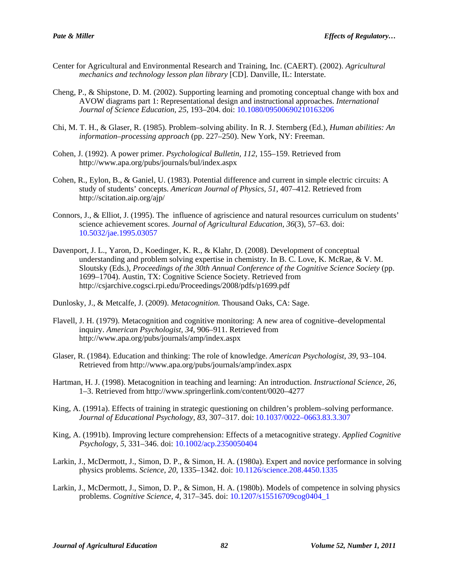- Center for Agricultural and Environmental Research and Training, Inc. (CAERT). (2002). *Agricultural mechanics and technology lesson plan library* [CD]. Danville, IL: Interstate.
- Cheng, P., & Shipstone, D. M. (2002). Supporting learning and promoting conceptual change with box and AVOW diagrams part 1: Representational design and instructional approaches. *International Journal of Science Education, 25*, 193–204. doi: [10.1080/09500690210163206](http://dx.doi.org/10.1080/09500690210163206)
- Chi, M. T. H., & Glaser, R. (1985). Problem–solving ability. In R. J. Sternberg (Ed.), *Human abilities: An information–processing approach* (pp. 227–250). New York, NY: Freeman.
- Cohen, J. (1992). A power primer. *Psychological Bulletin, 112*, 155–159. Retrieved from http://www.apa.org/pubs/journals/bul/index.aspx
- Cohen, R., Eylon, B., & Ganiel, U. (1983). Potential difference and current in simple electric circuits: A study of students' concepts. *American Journal of Physics, 51*, 407–412. Retrieved from http://scitation.aip.org/ajp/
- Connors, J., & Elliot, J. (1995). The influence of agriscience and natural resources curriculum on students' science achievement scores. *Journal of Agricultural Education, 36*(3), 57–63. doi: [10.5032/jae.1995.03057](http://dx.doi.org/10.5032/jae.1995.03057)
- Davenport, J. L., Yaron, D., Koedinger, K. R., & Klahr, D. (2008). Development of conceptual understanding and problem solving expertise in chemistry. In B. C. Love, K. McRae, & V. M. Sloutsky (Eds.), *Proceedings of the 30th Annual Conference of the Cognitive Science Society* (pp. 1699–1704). Austin, TX: Cognitive Science Society. Retrieved from http://csjarchive.cogsci.rpi.edu/Proceedings/2008/pdfs/p1699.pdf
- Dunlosky, J., & Metcalfe, J. (2009). *Metacognition.* Thousand Oaks, CA: Sage.
- Flavell, J. H. (1979). Metacognition and cognitive monitoring: A new area of cognitive–developmental inquiry. *American Psychologist, 34*, 906–911. Retrieved from http://www.apa.org/pubs/journals/amp/index.aspx
- Glaser, R. (1984). Education and thinking: The role of knowledge. *American Psychologist, 39*, 93–104. Retrieved from http://www.apa.org/pubs/journals/amp/index.aspx
- Hartman, H. J. (1998). Metacognition in teaching and learning: An introduction. *Instructional Science, 26*, 1–3. Retrieved from http://www.springerlink.com/content/0020–4277
- King, A. (1991a). Effects of training in strategic questioning on children's problem–solving performance. *Journal of Educational Psychology, 83*, 307–317. doi: [10.1037/0022–0663.83.3.307](http://dx.doi.org/10.1037/0022–0663.83.3.307)
- King, A. (1991b). Improving lecture comprehension: Effects of a metacognitive strategy. *Applied Cognitive Psychology, 5*, 331–346. doi: [10.1002/acp.2350050404](http://dx.doi.org/10.1002/acp.2350050404)
- Larkin, J., McDermott, J., Simon, D. P., & Simon, H. A. (1980a). Expert and novice performance in solving physics problems. *Science, 20*, 1335–1342. doi: [10.1126/science.208.4450.1335](http://dx.doi.org/10.1126/science.208.4450.1335)
- Larkin, J., McDermott, J., Simon, D. P., & Simon, H. A. (1980b). Models of competence in solving physics problems. *Cognitive Science, 4*, 317–345. doi: [10.1207/s15516709cog0404\\_1](http://dx.doi.org/10.1207/s15516709cog0404_1)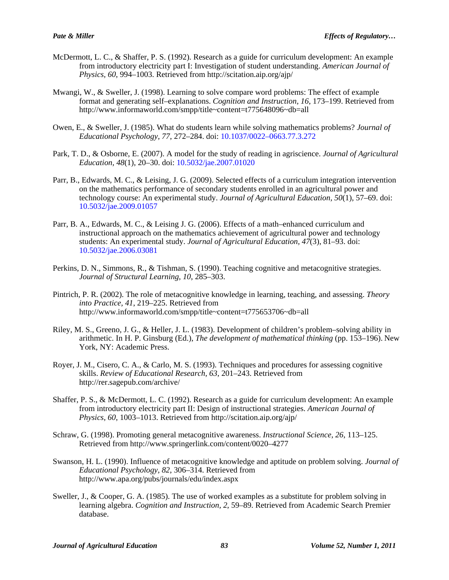- McDermott, L. C., & Shaffer, P. S. (1992). Research as a guide for curriculum development: An example from introductory electricity part I: Investigation of student understanding. *American Journal of Physics, 60*, 994–1003. Retrieved from http://scitation.aip.org/ajp/
- Mwangi, W., & Sweller, J. (1998). Learning to solve compare word problems: The effect of example format and generating self–explanations. *Cognition and Instruction, 16*, 173–199. Retrieved from http://www.informaworld.com/smpp/title~content=t775648096~db=all
- Owen, E., & Sweller, J. (1985). What do students learn while solving mathematics problems? *Journal of Educational Psychology, 77*, 272–284. doi: [10.1037/0022–0663.77.3.272](http://dx.doi.org/10.1037/0022–0663.77.3.272)
- Park, T. D., & Osborne, E. (2007). A model for the study of reading in agriscience. *Journal of Agricultural Education, 48*(1), 20–30. doi: [10.5032/jae.2007.01020](http://dx.doi.org/10.5032/jae.2007.01020)
- Parr, B., Edwards, M. C., & Leising, J. G. (2009). Selected effects of a curriculum integration intervention on the mathematics performance of secondary students enrolled in an agricultural power and technology course: An experimental study. *Journal of Agricultural Education, 50*(1), 57–69. doi: [10.5032/jae.2009.01057](http://dx.doi.org/10.5032/jae.2009.01057)
- Parr, B. A., Edwards, M. C., & Leising J. G. (2006). Effects of a math–enhanced curriculum and instructional approach on the mathematics achievement of agricultural power and technology students: An experimental study. *Journal of Agricultural Education, 47*(3), 81–93. doi: [10.5032/jae.2006.03081](http://dx.doi.org/10.5032/jae.2006.03081)
- Perkins, D. N., Simmons, R., & Tishman, S. (1990). Teaching cognitive and metacognitive strategies. *Journal of Structural Learning*, *10*, 285–303.
- Pintrich, P. R. (2002). The role of metacognitive knowledge in learning, teaching, and assessing. *Theory into Practice, 41*, 219–225. Retrieved from http://www.informaworld.com/smpp/title~content=t775653706~db=all
- Riley, M. S., Greeno, J. G., & Heller, J. L. (1983). Development of children's problem–solving ability in arithmetic. In H. P. Ginsburg (Ed.), *The development of mathematical thinking* (pp. 153–196). New York, NY: Academic Press.
- Royer, J. M., Cisero, C. A., & Carlo, M. S. (1993). Techniques and procedures for assessing cognitive skills. *Review of Educational Research, 63*, 201–243. Retrieved from http://rer.sagepub.com/archive/
- Shaffer, P. S., & McDermott, L. C. (1992). Research as a guide for curriculum development: An example from introductory electricity part II: Design of instructional strategies. *American Journal of Physics, 60*, 1003–1013. Retrieved from http://scitation.aip.org/ajp/
- Schraw, G. (1998). Promoting general metacognitive awareness. *Instructional Science, 26*, 113–125. Retrieved from http://www.springerlink.com/content/0020–4277
- Swanson, H. L. (1990). Influence of metacognitive knowledge and aptitude on problem solving. *Journal of Educational Psychology, 82*, 306–314. Retrieved from http://www.apa.org/pubs/journals/edu/index.aspx
- Sweller, J., & Cooper, G. A. (1985). The use of worked examples as a substitute for problem solving in learning algebra. *Cognition and Instruction, 2*, 59–89. Retrieved from Academic Search Premier database.